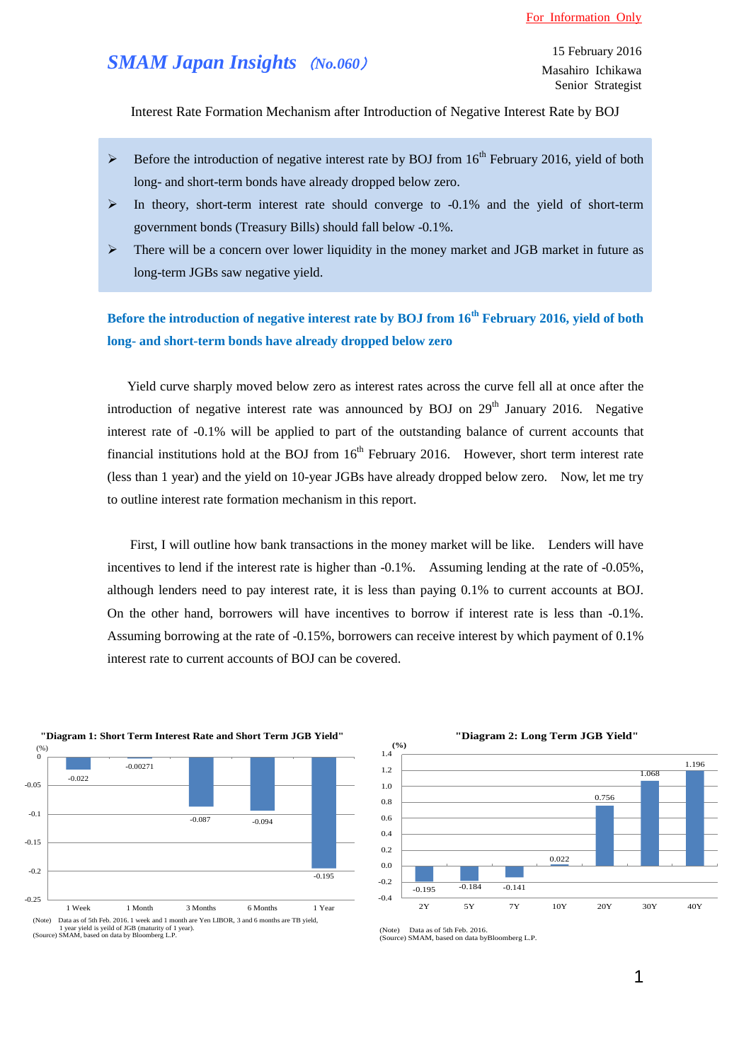## *SMAM Japan Insights* (*No.060*)

Interest Rate Formation Mechanism after Introduction of Negative Interest Rate by BOJ

- $\triangleright$  Before the introduction of negative interest rate by BOJ from 16<sup>th</sup> February 2016, yield of both long- and short-term bonds have already dropped below zero.
- $\triangleright$  In theory, short-term interest rate should converge to -0.1% and the yield of short-term government bonds (Treasury Bills) should fall below -0.1%.
- There will be a concern over lower liquidity in the money market and JGB market in future as long-term JGBs saw negative yield.

**Before the introduction of negative interest rate by BOJ from 16th February 2016, yield of both long- and short-term bonds have already dropped below zero** 

Yield curve sharply moved below zero as interest rates across the curve fell all at once after the introduction of negative interest rate was announced by BOJ on  $29<sup>th</sup>$  January 2016. Negative interest rate of -0.1% will be applied to part of the outstanding balance of current accounts that financial institutions hold at the BOJ from  $16<sup>th</sup>$  February 2016. However, short term interest rate (less than 1 year) and the yield on 10-year JGBs have already dropped below zero. Now, let me try to outline interest rate formation mechanism in this report.

First, I will outline how bank transactions in the money market will be like. Lenders will have incentives to lend if the interest rate is higher than  $-0.1\%$ . Assuming lending at the rate of  $-0.05\%$ , although lenders need to pay interest rate, it is less than paying 0.1% to current accounts at BOJ. On the other hand, borrowers will have incentives to borrow if interest rate is less than -0.1%. Assuming borrowing at the rate of -0.15%, borrowers can receive interest by which payment of 0.1% interest rate to current accounts of BOJ can be covered.





(Note) Data as of 5th Feb. 2016. (Source) SMAM, based on data byBloomberg L.P.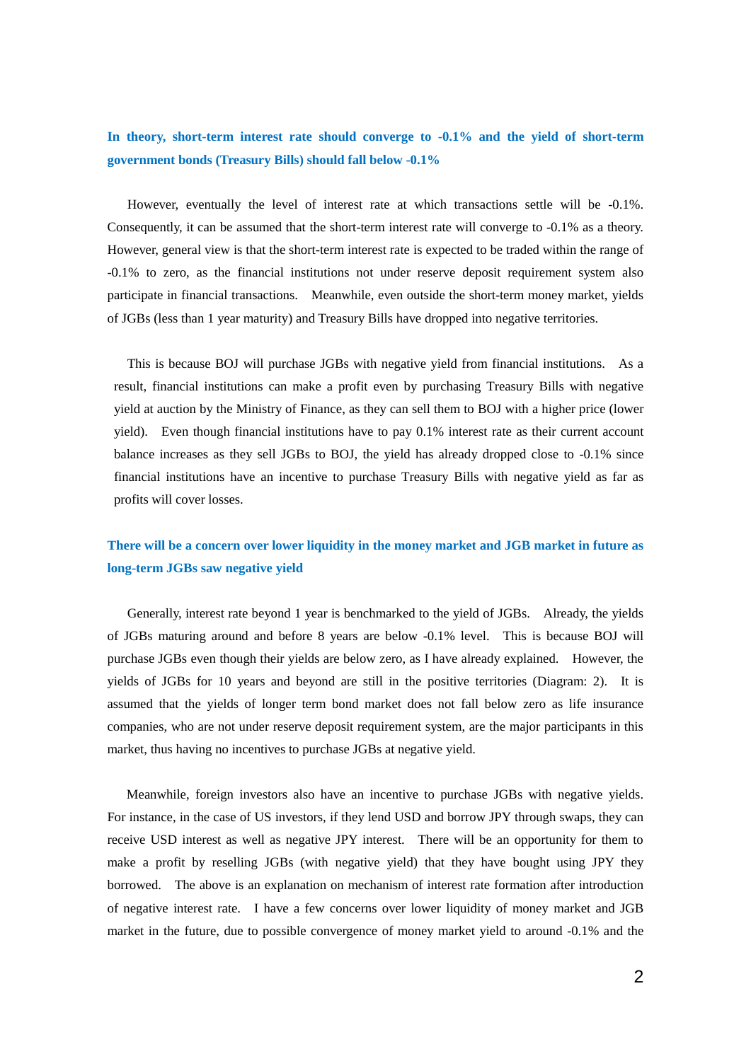**In theory, short-term interest rate should converge to -0.1% and the yield of short-term government bonds (Treasury Bills) should fall below -0.1%**

However, eventually the level of interest rate at which transactions settle will be -0.1%. Consequently, it can be assumed that the short-term interest rate will converge to -0.1% as a theory. However, general view is that the short-term interest rate is expected to be traded within the range of -0.1% to zero, as the financial institutions not under reserve deposit requirement system also participate in financial transactions. Meanwhile, even outside the short-term money market, yields of JGBs (less than 1 year maturity) and Treasury Bills have dropped into negative territories.

 This is because BOJ will purchase JGBs with negative yield from financial institutions. As a result, financial institutions can make a profit even by purchasing Treasury Bills with negative yield at auction by the Ministry of Finance, as they can sell them to BOJ with a higher price (lower yield). Even though financial institutions have to pay 0.1% interest rate as their current account balance increases as they sell JGBs to BOJ, the yield has already dropped close to -0.1% since financial institutions have an incentive to purchase Treasury Bills with negative yield as far as profits will cover losses.

## **There will be a concern over lower liquidity in the money market and JGB market in future as long-term JGBs saw negative yield**

Generally, interest rate beyond 1 year is benchmarked to the yield of JGBs. Already, the yields of JGBs maturing around and before 8 years are below -0.1% level. This is because BOJ will purchase JGBs even though their yields are below zero, as I have already explained. However, the yields of JGBs for 10 years and beyond are still in the positive territories (Diagram: 2). It is assumed that the yields of longer term bond market does not fall below zero as life insurance companies, who are not under reserve deposit requirement system, are the major participants in this market, thus having no incentives to purchase JGBs at negative yield.

 Meanwhile, foreign investors also have an incentive to purchase JGBs with negative yields. For instance, in the case of US investors, if they lend USD and borrow JPY through swaps, they can receive USD interest as well as negative JPY interest. There will be an opportunity for them to make a profit by reselling JGBs (with negative yield) that they have bought using JPY they borrowed. The above is an explanation on mechanism of interest rate formation after introduction of negative interest rate. I have a few concerns over lower liquidity of money market and JGB market in the future, due to possible convergence of money market yield to around -0.1% and the